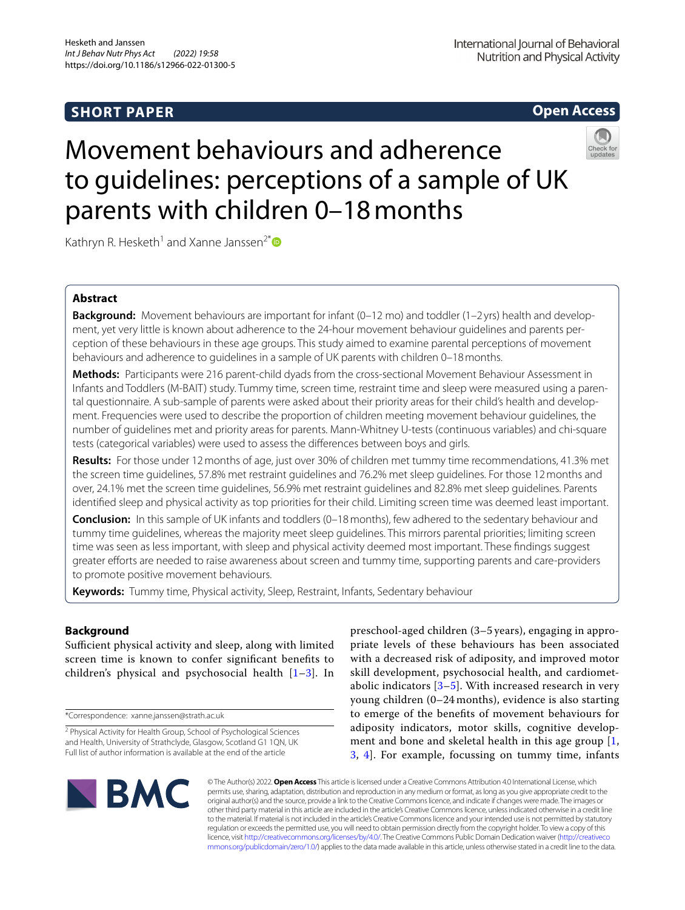# **SHORT PAPER**

# **Open Access**

# Movement behaviours and adherence to guidelines: perceptions of a sample of UK parents with children 0–18months



Kathryn R. Hesketh<sup>1</sup> and Xanne Janssen<sup>2\*</sup>

# **Abstract**

**Background:** Movement behaviours are important for infant (0–12 mo) and toddler (1–2 yrs) health and development, yet very little is known about adherence to the 24-hour movement behaviour guidelines and parents perception of these behaviours in these age groups. This study aimed to examine parental perceptions of movement behaviours and adherence to guidelines in a sample of UK parents with children 0–18months.

**Methods:** Participants were 216 parent-child dyads from the cross-sectional Movement Behaviour Assessment in Infants and Toddlers (M-BAIT) study. Tummy time, screen time, restraint time and sleep were measured using a parental questionnaire. A sub-sample of parents were asked about their priority areas for their child's health and development. Frequencies were used to describe the proportion of children meeting movement behaviour guidelines, the number of guidelines met and priority areas for parents. Mann-Whitney U-tests (continuous variables) and chi-square tests (categorical variables) were used to assess the diferences between boys and girls.

**Results:** For those under 12months of age, just over 30% of children met tummy time recommendations, 41.3% met the screen time guidelines, 57.8% met restraint guidelines and 76.2% met sleep guidelines. For those 12months and over, 24.1% met the screen time guidelines, 56.9% met restraint guidelines and 82.8% met sleep guidelines. Parents identifed sleep and physical activity as top priorities for their child. Limiting screen time was deemed least important.

**Conclusion:** In this sample of UK infants and toddlers (0–18 months), few adhered to the sedentary behaviour and tummy time guidelines, whereas the majority meet sleep guidelines. This mirrors parental priorities; limiting screen time was seen as less important, with sleep and physical activity deemed most important. These fndings suggest greater eforts are needed to raise awareness about screen and tummy time, supporting parents and care-providers to promote positive movement behaviours.

**Keywords:** Tummy time, Physical activity, Sleep, Restraint, Infants, Sedentary behaviour

## **Background**

Sufficient physical activity and sleep, along with limited screen time is known to confer signifcant benefts to children's physical and psychosocial health  $[1-3]$  $[1-3]$ . In

\*Correspondence: xanne.janssen@strath.ac.uk

preschool-aged children (3–5 years), engaging in appropriate levels of these behaviours has been associated with a decreased risk of adiposity, and improved motor skill development, psychosocial health, and cardiometabolic indicators  $[3-5]$  $[3-5]$ . With increased research in very young children (0–24 months), evidence is also starting to emerge of the benefts of movement behaviours for adiposity indicators, motor skills, cognitive development and bone and skeletal health in this age group [\[1](#page-6-0), [3,](#page-6-1) [4](#page-6-3)]. For example, focussing on tummy time, infants



© The Author(s) 2022. **Open Access** This article is licensed under a Creative Commons Attribution 4.0 International License, which permits use, sharing, adaptation, distribution and reproduction in any medium or format, as long as you give appropriate credit to the original author(s) and the source, provide a link to the Creative Commons licence, and indicate if changes were made. The images or other third party material in this article are included in the article's Creative Commons licence, unless indicated otherwise in a credit line to the material. If material is not included in the article's Creative Commons licence and your intended use is not permitted by statutory regulation or exceeds the permitted use, you will need to obtain permission directly from the copyright holder. To view a copy of this licence, visit [http://creativecommons.org/licenses/by/4.0/.](http://creativecommons.org/licenses/by/4.0/) The Creative Commons Public Domain Dedication waiver ([http://creativeco](http://creativecommons.org/publicdomain/zero/1.0/) [mmons.org/publicdomain/zero/1.0/](http://creativecommons.org/publicdomain/zero/1.0/)) applies to the data made available in this article, unless otherwise stated in a credit line to the data.

<sup>&</sup>lt;sup>2</sup> Physical Activity for Health Group, School of Psychological Sciences and Health, University of Strathclyde, Glasgow, Scotland G1 1QN, UK Full list of author information is available at the end of the article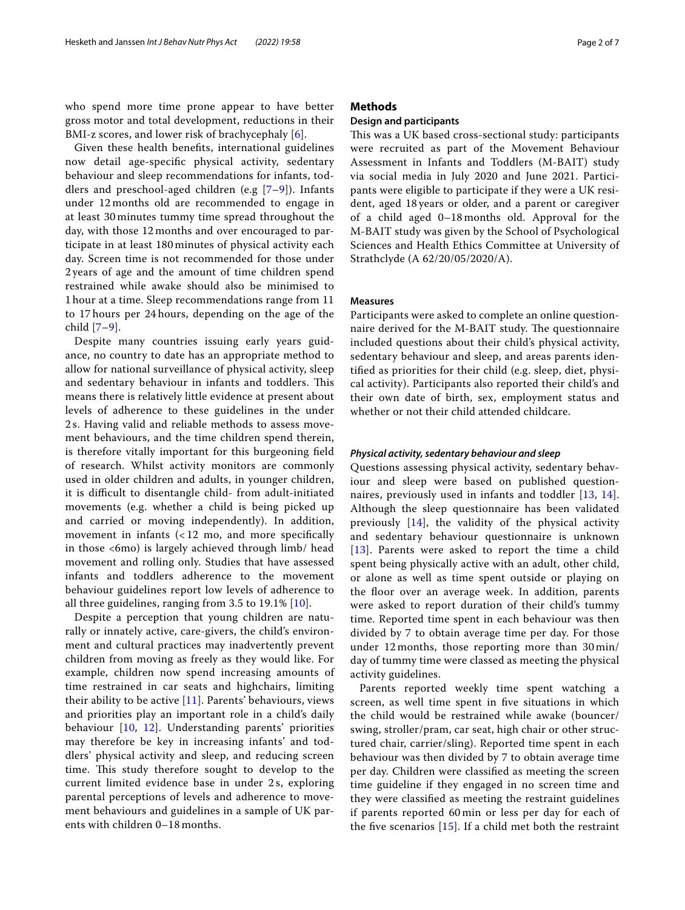who spend more time prone appear to have better gross motor and total development, reductions in their BMI-z scores, and lower risk of brachycephaly [\[6](#page-6-4)].

Given these health benefts, international guidelines now detail age-specifc physical activity, sedentary behaviour and sleep recommendations for infants, toddlers and preschool-aged children (e.g  $[7-9]$  $[7-9]$ ). Infants under 12 months old are recommended to engage in at least 30 minutes tummy time spread throughout the day, with those 12 months and over encouraged to participate in at least 180 minutes of physical activity each day. Screen time is not recommended for those under 2 years of age and the amount of time children spend restrained while awake should also be minimised to 1 hour at a time. Sleep recommendations range from 11 to 17 hours per 24 hours, depending on the age of the child [\[7](#page-6-5)–[9\]](#page-6-6).

Despite many countries issuing early years guidance, no country to date has an appropriate method to allow for national surveillance of physical activity, sleep and sedentary behaviour in infants and toddlers. This means there is relatively little evidence at present about levels of adherence to these guidelines in the under 2 s. Having valid and reliable methods to assess movement behaviours, and the time children spend therein, is therefore vitally important for this burgeoning feld of research. Whilst activity monitors are commonly used in older children and adults, in younger children, it is difcult to disentangle child- from adult-initiated movements (e.g. whether a child is being picked up and carried or moving independently). In addition, movement in infants  $\left( < 12 \right)$  mo, and more specifically in those <6mo) is largely achieved through limb/ head movement and rolling only. Studies that have assessed infants and toddlers adherence to the movement behaviour guidelines report low levels of adherence to all three guidelines, ranging from 3.5 to 19.1% [\[10\]](#page-6-7).

Despite a perception that young children are naturally or innately active, care-givers, the child's environment and cultural practices may inadvertently prevent children from moving as freely as they would like. For example, children now spend increasing amounts of time restrained in car seats and highchairs, limiting their ability to be active [[11\]](#page-6-8). Parents' behaviours, views and priorities play an important role in a child's daily behaviour [[10](#page-6-7), [12\]](#page-6-9). Understanding parents' priorities may therefore be key in increasing infants' and toddlers' physical activity and sleep, and reducing screen time. This study therefore sought to develop to the current limited evidence base in under 2 s, exploring parental perceptions of levels and adherence to movement behaviours and guidelines in a sample of UK parents with children 0–18 months.

## **Methods**

## **Design and participants**

This was a UK based cross-sectional study: participants were recruited as part of the Movement Behaviour Assessment in Infants and Toddlers (M-BAIT) study via social media in July 2020 and June 2021. Participants were eligible to participate if they were a UK resident, aged 18 years or older, and a parent or caregiver of a child aged 0–18 months old. Approval for the M-BAIT study was given by the School of Psychological Sciences and Health Ethics Committee at University of Strathclyde (A 62/20/05/2020/A).

## **Measures**

Participants were asked to complete an online questionnaire derived for the M-BAIT study. The questionnaire included questions about their child's physical activity, sedentary behaviour and sleep, and areas parents identifed as priorities for their child (e.g. sleep, diet, physical activity). Participants also reported their child's and their own date of birth, sex, employment status and whether or not their child attended childcare.

#### *Physical activity, sedentary behaviour and sleep*

Questions assessing physical activity, sedentary behaviour and sleep were based on published questionnaires, previously used in infants and toddler [[13](#page-6-10), [14](#page-6-11)]. Although the sleep questionnaire has been validated previously  $[14]$  $[14]$ , the validity of the physical activity and sedentary behaviour questionnaire is unknown [[13](#page-6-10)]. Parents were asked to report the time a child spent being physically active with an adult, other child, or alone as well as time spent outside or playing on the floor over an average week. In addition, parents were asked to report duration of their child's tummy time. Reported time spent in each behaviour was then divided by 7 to obtain average time per day. For those under 12 months, those reporting more than 30 min/ day of tummy time were classed as meeting the physical activity guidelines.

Parents reported weekly time spent watching a screen, as well time spent in fve situations in which the child would be restrained while awake (bouncer/ swing, stroller/pram, car seat, high chair or other structured chair, carrier/sling). Reported time spent in each behaviour was then divided by 7 to obtain average time per day. Children were classifed as meeting the screen time guideline if they engaged in no screen time and they were classifed as meeting the restraint guidelines if parents reported 60 min or less per day for each of the five scenarios  $[15]$  $[15]$ . If a child met both the restraint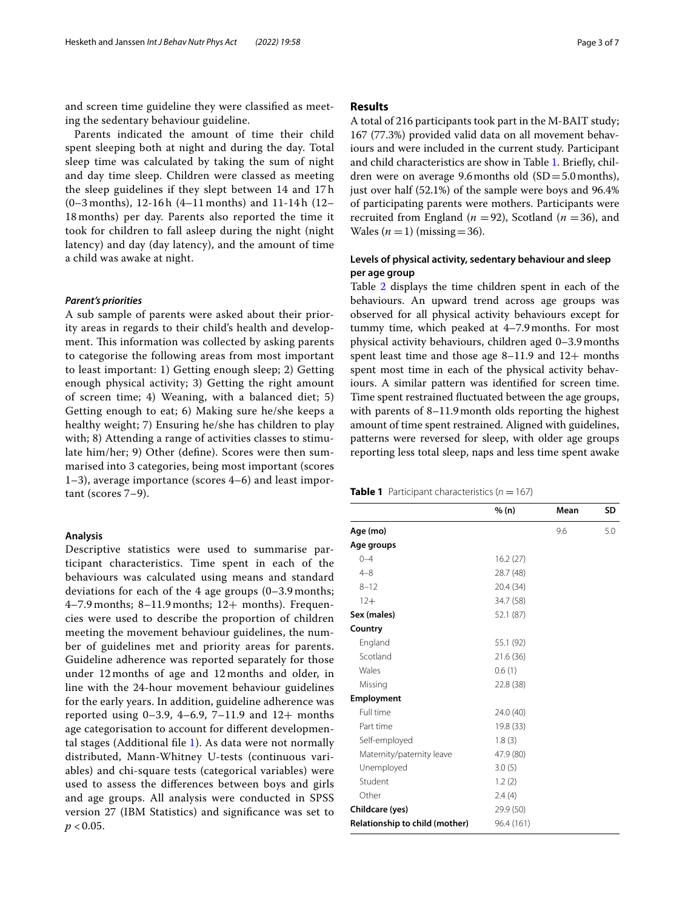and screen time guideline they were classifed as meeting the sedentary behaviour guideline.

Parents indicated the amount of time their child spent sleeping both at night and during the day. Total sleep time was calculated by taking the sum of night and day time sleep. Children were classed as meeting the sleep guidelines if they slept between 14 and 17 h (0–3 months), 12-16 h (4–11 months) and 11-14 h (12– 18 months) per day. Parents also reported the time it took for children to fall asleep during the night (night latency) and day (day latency), and the amount of time a child was awake at night.

## *Parent's priorities*

A sub sample of parents were asked about their priority areas in regards to their child's health and development. This information was collected by asking parents to categorise the following areas from most important to least important: 1) Getting enough sleep; 2) Getting enough physical activity; 3) Getting the right amount of screen time; 4) Weaning, with a balanced diet; 5) Getting enough to eat; 6) Making sure he/she keeps a healthy weight; 7) Ensuring he/she has children to play with; 8) Attending a range of activities classes to stimulate him/her; 9) Other (defne). Scores were then summarised into 3 categories, being most important (scores 1–3), average importance (scores 4–6) and least important (scores 7–9).

## **Analysis**

Descriptive statistics were used to summarise participant characteristics. Time spent in each of the behaviours was calculated using means and standard deviations for each of the 4 age groups (0–3.9 months;  $4-7.9$  months;  $8-11.9$  months;  $12+$  months). Frequencies were used to describe the proportion of children meeting the movement behaviour guidelines, the number of guidelines met and priority areas for parents. Guideline adherence was reported separately for those under 12 months of age and 12 months and older, in line with the 24-hour movement behaviour guidelines for the early years. In addition, guideline adherence was reported using  $0-3.9$ ,  $4-6.9$ ,  $7-11.9$  and  $12+$  months age categorisation to account for diferent developmental stages (Additional fle [1\)](#page-5-0). As data were not normally distributed, Mann-Whitney U-tests (continuous variables) and chi-square tests (categorical variables) were used to assess the diferences between boys and girls and age groups. All analysis were conducted in SPSS version 27 (IBM Statistics) and signifcance was set to  $p < 0.05$ .

## **Results**

A total of 216 participants took part in the M-BAIT study; 167 (77.3%) provided valid data on all movement behaviours and were included in the current study. Participant and child characteristics are show in Table [1.](#page-2-0) Briefy, children were on average 9.6 months old  $(SD=5.0 \text{ months})$ , just over half (52.1%) of the sample were boys and 96.4% of participating parents were mothers. Participants were recruited from England ( $n = 92$ ), Scotland ( $n = 36$ ), and Wales  $(n=1)$  (missing=36).

## **Levels of physical activity, sedentary behaviour and sleep per age group**

Table [2](#page-3-0) displays the time children spent in each of the behaviours. An upward trend across age groups was observed for all physical activity behaviours except for tummy time, which peaked at 4–7.9months. For most physical activity behaviours, children aged 0–3.9months spent least time and those age  $8-11.9$  and  $12+$  months spent most time in each of the physical activity behaviours. A similar pattern was identifed for screen time. Time spent restrained fuctuated between the age groups, with parents of 8–11.9month olds reporting the highest amount of time spent restrained. Aligned with guidelines, patterns were reversed for sleep, with older age groups reporting less total sleep, naps and less time spent awake

<span id="page-2-0"></span>**Table 1** Participant characteristics  $(n = 167)$ 

|                                | % (n)      | Mean | <b>SD</b> |
|--------------------------------|------------|------|-----------|
| Age (mo)                       |            | 9.6  | 5.0       |
| Age groups                     |            |      |           |
| $0 - 4$                        | 16.2(27)   |      |           |
| $4 - 8$                        | 28.7 (48)  |      |           |
| $8 - 12$                       | 20.4 (34)  |      |           |
| $12+$                          | 34.7 (58)  |      |           |
| Sex (males)                    | 52.1 (87)  |      |           |
| Country                        |            |      |           |
| England                        | 55.1 (92)  |      |           |
| Scotland                       | 21.6 (36)  |      |           |
| Wales                          | 0.6(1)     |      |           |
| Missing                        | 22.8 (38)  |      |           |
| Employment                     |            |      |           |
| Full time                      | 24.0 (40)  |      |           |
| Part time                      | 19.8 (33)  |      |           |
| Self-employed                  | 1.8(3)     |      |           |
| Maternity/paternity leave      | 47.9 (80)  |      |           |
| Unemployed                     | 3.0(5)     |      |           |
| Student                        | 1.2(2)     |      |           |
| Other                          | 2.4(4)     |      |           |
| Childcare (yes)                | 29.9 (50)  |      |           |
| Relationship to child (mother) | 96.4 (161) |      |           |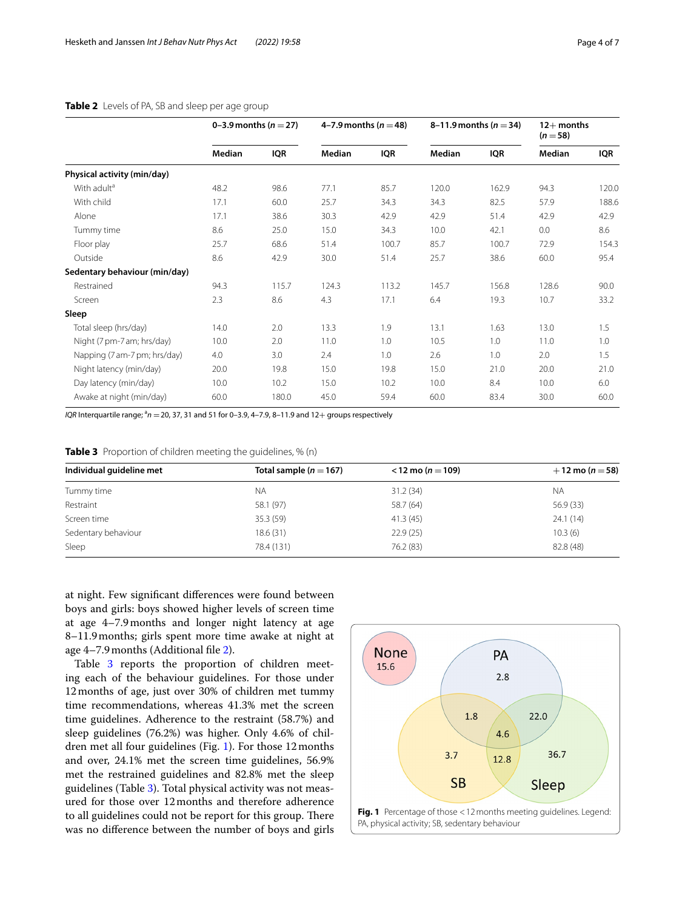|                               | 0-3.9 months ( $n = 27$ ) |            | 4–7.9 months ( $n = 48$ ) |            | 8–11.9 months ( $n = 34$ ) |            | $12+$ months<br>$(n=58)$ |       |
|-------------------------------|---------------------------|------------|---------------------------|------------|----------------------------|------------|--------------------------|-------|
|                               | Median                    | <b>IQR</b> | Median                    | <b>IQR</b> | Median                     | <b>IQR</b> | Median                   | IQR   |
| Physical activity (min/day)   |                           |            |                           |            |                            |            |                          |       |
| With adult <sup>a</sup>       | 48.2                      | 98.6       | 77.1                      | 85.7       | 120.0                      | 162.9      | 94.3                     | 120.0 |
| With child                    | 17.1                      | 60.0       | 25.7                      | 34.3       | 34.3                       | 82.5       | 57.9                     | 188.6 |
| Alone                         | 17.1                      | 38.6       | 30.3                      | 42.9       | 42.9                       | 51.4       | 42.9                     | 42.9  |
| Tummy time                    | 8.6                       | 25.0       | 15.0                      | 34.3       | 10.0                       | 42.1       | 0.0                      | 8.6   |
| Floor play                    | 25.7                      | 68.6       | 51.4                      | 100.7      | 85.7                       | 100.7      | 72.9                     | 154.3 |
| Outside                       | 8.6                       | 42.9       | 30.0                      | 51.4       | 25.7                       | 38.6       | 60.0                     | 95.4  |
| Sedentary behaviour (min/day) |                           |            |                           |            |                            |            |                          |       |
| Restrained                    | 94.3                      | 115.7      | 124.3                     | 113.2      | 145.7                      | 156.8      | 128.6                    | 90.0  |
| Screen                        | 2.3                       | 8.6        | 4.3                       | 17.1       | 6.4                        | 19.3       | 10.7                     | 33.2  |
| Sleep                         |                           |            |                           |            |                            |            |                          |       |
| Total sleep (hrs/day)         | 14.0                      | 2.0        | 13.3                      | 1.9        | 13.1                       | 1.63       | 13.0                     | 1.5   |
| Night (7 pm-7 am; hrs/day)    | 10.0                      | 2.0        | 11.0                      | 1.0        | 10.5                       | 1.0        | 11.0                     | 1.0   |
| Napping (7 am-7 pm; hrs/day)  | 4.0                       | 3.0        | 2.4                       | 1.0        | 2.6                        | 1.0        | 2.0                      | 1.5   |
| Night latency (min/day)       | 20.0                      | 19.8       | 15.0                      | 19.8       | 15.0                       | 21.0       | 20.0                     | 21.0  |
| Day latency (min/day)         | 10.0                      | 10.2       | 15.0                      | 10.2       | 10.0                       | 8.4        | 10.0                     | 6.0   |
| Awake at night (min/day)      | 60.0                      | 180.0      | 45.0                      | 59.4       | 60.0                       | 83.4       | 30.0                     | 60.0  |

## <span id="page-3-0"></span>**Table 2** Levels of PA, SB and sleep per age group

*IQR* Interquartile range; <sup>a</sup>n = 20, 37, 31 and 51 for 0–3.9, 4–7.9, 8–11.9 and 12+ groups respectively

<span id="page-3-1"></span>

|  | Table 3 Proportion of children meeting the guidelines, % (n) |
|--|--------------------------------------------------------------|
|--|--------------------------------------------------------------|

| Individual guideline met | Total sample $(n = 167)$ | $<$ 12 mo (n = 109) | $+12$ mo (n = 58) |
|--------------------------|--------------------------|---------------------|-------------------|
| Tummy time               | <b>NA</b>                | 31.2(34)            | NA.               |
| Restraint                | 58.1 (97)                | 58.7 (64)           | 56.9 (33)         |
| Screen time              | 35.3(59)                 | 41.3(45)            | 24.1(14)          |
| Sedentary behaviour      | 18.6(31)                 | 22.9(25)            | 10.3(6)           |
| Sleep                    | 78.4 (131)               | 76.2 (83)           | 82.8 (48)         |

at night. Few signifcant diferences were found between boys and girls: boys showed higher levels of screen time at age 4–7.9months and longer night latency at age 8–11.9months; girls spent more time awake at night at age 4–7.9months (Additional fle [2\)](#page-5-1).

Table [3](#page-3-1) reports the proportion of children meeting each of the behaviour guidelines. For those under 12months of age, just over 30% of children met tummy time recommendations, whereas 41.3% met the screen time guidelines. Adherence to the restraint (58.7%) and sleep guidelines (76.2%) was higher. Only 4.6% of children met all four guidelines (Fig. [1\)](#page-3-2). For those 12months and over, 24.1% met the screen time guidelines, 56.9% met the restrained guidelines and 82.8% met the sleep guidelines (Table [3](#page-3-1)). Total physical activity was not measured for those over 12months and therefore adherence to all guidelines could not be report for this group. There was no diference between the number of boys and girls

<span id="page-3-2"></span>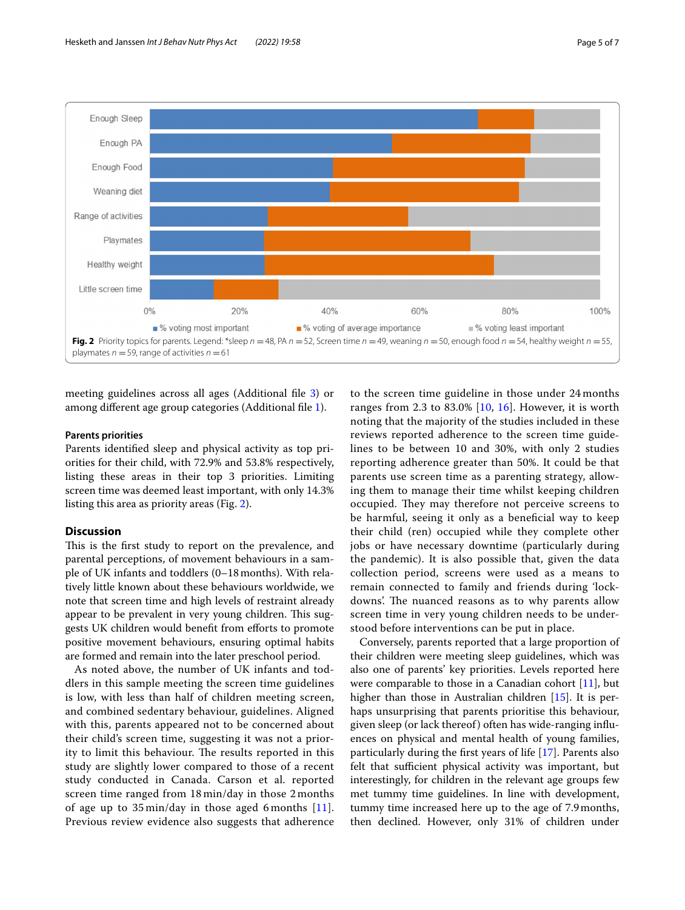

<span id="page-4-0"></span>meeting guidelines across all ages (Additional fle [3\)](#page-5-2) or among diferent age group categories (Additional fle [1\)](#page-5-0).

### **Parents priorities**

Parents identifed sleep and physical activity as top priorities for their child, with 72.9% and 53.8% respectively, listing these areas in their top 3 priorities. Limiting screen time was deemed least important, with only 14.3% listing this area as priority areas (Fig. [2\)](#page-4-0).

## **Discussion**

This is the first study to report on the prevalence, and parental perceptions, of movement behaviours in a sample of UK infants and toddlers (0–18months). With relatively little known about these behaviours worldwide, we note that screen time and high levels of restraint already appear to be prevalent in very young children. This suggests UK children would beneft from eforts to promote positive movement behaviours, ensuring optimal habits are formed and remain into the later preschool period.

As noted above, the number of UK infants and toddlers in this sample meeting the screen time guidelines is low, with less than half of children meeting screen, and combined sedentary behaviour, guidelines. Aligned with this, parents appeared not to be concerned about their child's screen time, suggesting it was not a priority to limit this behaviour. The results reported in this study are slightly lower compared to those of a recent study conducted in Canada. Carson et al. reported screen time ranged from 18 min/day in those 2 months of age up to 35 min/day in those aged 6 months [[11\]](#page-6-8). Previous review evidence also suggests that adherence

to the screen time guideline in those under 24 months ranges from 2.3 to 83.0% [\[10](#page-6-7), [16\]](#page-6-13). However, it is worth noting that the majority of the studies included in these reviews reported adherence to the screen time guidelines to be between 10 and 30%, with only 2 studies reporting adherence greater than 50%. It could be that parents use screen time as a parenting strategy, allowing them to manage their time whilst keeping children occupied. They may therefore not perceive screens to be harmful, seeing it only as a benefcial way to keep their child (ren) occupied while they complete other jobs or have necessary downtime (particularly during the pandemic). It is also possible that, given the data collection period, screens were used as a means to remain connected to family and friends during 'lockdowns'. The nuanced reasons as to why parents allow screen time in very young children needs to be understood before interventions can be put in place.

Conversely, parents reported that a large proportion of their children were meeting sleep guidelines, which was also one of parents' key priorities. Levels reported here were comparable to those in a Canadian cohort  $[11]$  $[11]$ , but higher than those in Australian children [\[15](#page-6-12)]. It is perhaps unsurprising that parents prioritise this behaviour, given sleep (or lack thereof) often has wide-ranging infuences on physical and mental health of young families, particularly during the frst years of life [\[17](#page-6-14)]. Parents also felt that sufficient physical activity was important, but interestingly, for children in the relevant age groups few met tummy time guidelines. In line with development, tummy time increased here up to the age of 7.9months, then declined. However, only 31% of children under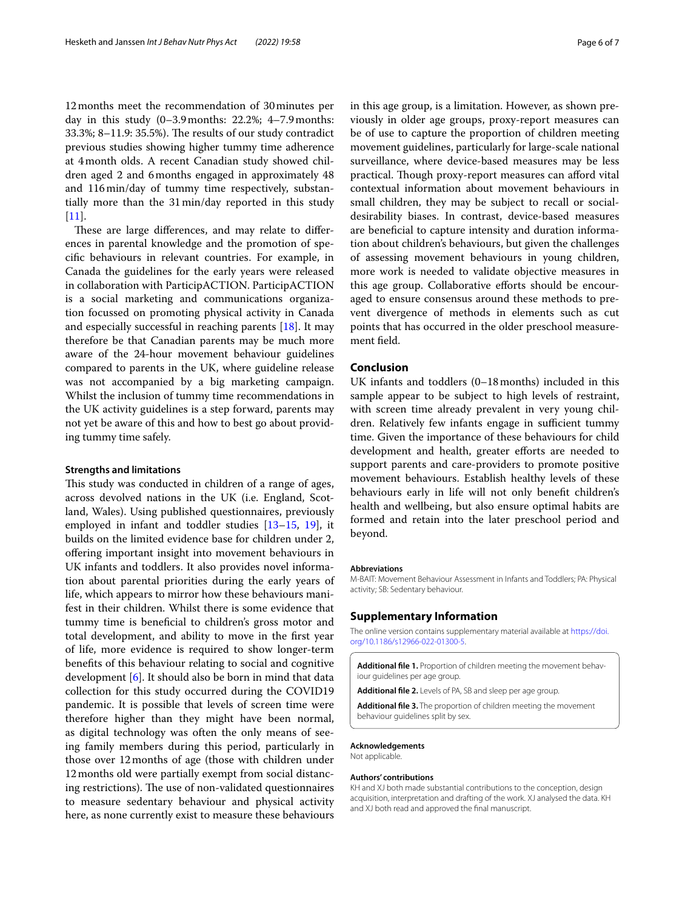12months meet the recommendation of 30minutes per day in this study (0–3.9months: 22.2%; 4–7.9months:  $33.3\%$ ; 8–11.9:  $35.5\%$ ). The results of our study contradict previous studies showing higher tummy time adherence at 4month olds. A recent Canadian study showed children aged 2 and 6months engaged in approximately 48 and 116min/day of tummy time respectively, substantially more than the 31min/day reported in this study  $[11]$  $[11]$ .

These are large differences, and may relate to differences in parental knowledge and the promotion of specifc behaviours in relevant countries. For example, in Canada the guidelines for the early years were released in collaboration with ParticipACTION. ParticipACTION is a social marketing and communications organization focussed on promoting physical activity in Canada and especially successful in reaching parents [\[18](#page-6-15)]. It may therefore be that Canadian parents may be much more aware of the 24-hour movement behaviour guidelines compared to parents in the UK, where guideline release was not accompanied by a big marketing campaign. Whilst the inclusion of tummy time recommendations in the UK activity guidelines is a step forward, parents may not yet be aware of this and how to best go about providing tummy time safely.

## **Strengths and limitations**

This study was conducted in children of a range of ages, across devolved nations in the UK (i.e. England, Scotland, Wales). Using published questionnaires, previously employed in infant and toddler studies [[13](#page-6-10)[–15](#page-6-12), [19\]](#page-6-16), it builds on the limited evidence base for children under 2, ofering important insight into movement behaviours in UK infants and toddlers. It also provides novel information about parental priorities during the early years of life, which appears to mirror how these behaviours manifest in their children. Whilst there is some evidence that tummy time is benefcial to children's gross motor and total development, and ability to move in the frst year of life, more evidence is required to show longer-term benefts of this behaviour relating to social and cognitive development [\[6](#page-6-4)]. It should also be born in mind that data collection for this study occurred during the COVID19 pandemic. It is possible that levels of screen time were therefore higher than they might have been normal, as digital technology was often the only means of seeing family members during this period, particularly in those over 12months of age (those with children under 12months old were partially exempt from social distancing restrictions). The use of non-validated questionnaires to measure sedentary behaviour and physical activity here, as none currently exist to measure these behaviours in this age group, is a limitation. However, as shown previously in older age groups, proxy-report measures can be of use to capture the proportion of children meeting movement guidelines, particularly for large-scale national surveillance, where device-based measures may be less practical. Though proxy-report measures can afford vital contextual information about movement behaviours in small children, they may be subject to recall or socialdesirability biases. In contrast, device-based measures are benefcial to capture intensity and duration information about children's behaviours, but given the challenges of assessing movement behaviours in young children, more work is needed to validate objective measures in this age group. Collaborative eforts should be encouraged to ensure consensus around these methods to prevent divergence of methods in elements such as cut points that has occurred in the older preschool measurement feld.

## **Conclusion**

UK infants and toddlers (0–18months) included in this sample appear to be subject to high levels of restraint, with screen time already prevalent in very young children. Relatively few infants engage in sufficient tummy time. Given the importance of these behaviours for child development and health, greater efforts are needed to support parents and care-providers to promote positive movement behaviours. Establish healthy levels of these behaviours early in life will not only beneft children's health and wellbeing, but also ensure optimal habits are formed and retain into the later preschool period and beyond.

#### **Abbreviations**

M-BAIT: Movement Behaviour Assessment in Infants and Toddlers; PA: Physical activity; SB: Sedentary behaviour.

#### **Supplementary Information**

The online version contains supplementary material available at [https://doi.](https://doi.org/10.1186/s12966-022-01300-5) [org/10.1186/s12966-022-01300-5](https://doi.org/10.1186/s12966-022-01300-5).

<span id="page-5-1"></span><span id="page-5-0"></span>**Additional fle 1.** Proportion of children meeting the movement behaviour guidelines per age group.

<span id="page-5-2"></span>**Additional fle 2.** Levels of PA, SB and sleep per age group.

**Additional fle 3.** The proportion of children meeting the movement behaviour guidelines split by sex.

#### **Acknowledgements**

Not applicable.

#### **Authors' contributions**

KH and XJ both made substantial contributions to the conception, design acquisition, interpretation and drafting of the work. XJ analysed the data. KH and XJ both read and approved the fnal manuscript.